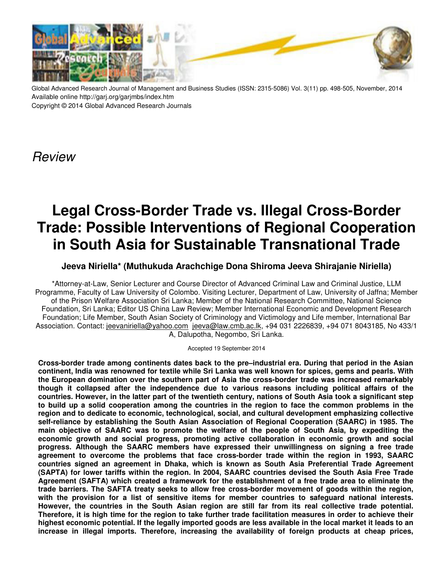

Global Advanced Research Journal of Management and Business Studies (ISSN: 2315-5086) Vol. 3(11) pp. 498-505, November, 2014 Available online http://garj.org/garjmbs/index.htm Copyright © 2014 Global Advanced Research Journals

**Review** 

# **Legal Cross-Border Trade vs. Illegal Cross-Border Trade: Possible Interventions of Regional Cooperation in South Asia for Sustainable Transnational Trade**

# **Jeeva Niriella\* (Muthukuda Arachchige Dona Shiroma Jeeva Shirajanie Niriella)**

\*Attorney-at-Law, Senior Lecturer and Course Director of Advanced Criminal Law and Criminal Justice, LLM Programme, Faculty of Law University of Colombo. Visiting Lecturer, Department of Law, University of Jaffna; Member of the Prison Welfare Association Sri Lanka; Member of the National Research Committee, National Science Foundation, Sri Lanka; Editor US China Law Review; Member International Economic and Development Research Foundation; Life Member, South Asian Society of Criminology and Victimology and Life member, International Bar Association. Contact: jeevaniriella@yahoo.com jeeva@law.cmb.ac.lk, +94 031 2226839, +94 071 8043185, No 433/1 A, Dalupotha, Negombo, Sri Lanka.

Accepted 19 September 2014

**Cross-border trade among continents dates back to the pre–industrial era. During that period in the Asian continent, India was renowned for textile while Sri Lanka was well known for spices, gems and pearls. With the European domination over the southern part of Asia the cross-border trade was increased remarkably though it collapsed after the independence due to various reasons including political affairs of the countries. However, in the latter part of the twentieth century, nations of South Asia took a significant step to build up a solid cooperation among the countries in the region to face the common problems in the region and to dedicate to economic, technological, social, and cultural development emphasizing collective self-reliance by establishing the South Asian Association of Regional Cooperation (SAARC) in 1985. The main objective of SAARC was to promote the welfare of the people of South Asia, by expediting the economic growth and social progress, promoting active collaboration in economic growth and social progress. Although the SAARC members have expressed their unwillingness on signing a free trade agreement to overcome the problems that face cross-border trade within the region in 1993, SAARC countries signed an agreement in Dhaka, which is known as South Asia Preferential Trade Agreement (SAPTA) for lower tariffs within the region. In 2004, SAARC countries devised the South Asia Free Trade Agreement (SAFTA) which created a framework for the establishment of a free trade area to eliminate the trade barriers. The SAFTA treaty seeks to allow free cross-border movement of goods within the region, with the provision for a list of sensitive items for member countries to safeguard national interests. However, the countries in the South Asian region are still far from its real collective trade potential. Therefore, it is high time for the region to take further trade facilitation measures in order to achieve their highest economic potential. If the legally imported goods are less available in the local market it leads to an increase in illegal imports. Therefore, increasing the availability of foreign products at cheap prices,**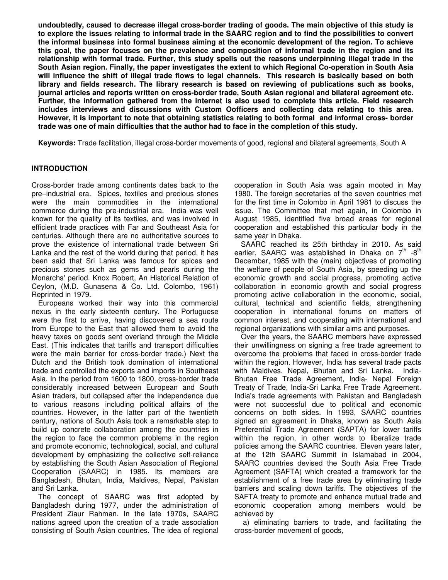**undoubtedly, caused to decrease illegal cross-border trading of goods. The main objective of this study is to explore the issues relating to informal trade in the SAARC region and to find the possibilities to convert the informal business into formal business aiming at the economic development of the region. To achieve this goal, the paper focuses on the prevalence and composition of informal trade in the region and its relationship with formal trade. Further, this study spells out the reasons underpinning illegal trade in the South Asian region. Finally, the paper investigates the extent to which Regional Co-operation in South Asia will influence the shift of illegal trade flows to legal channels. This research is basically based on both library and fields research. The library research is based on reviewing of publications such as books, journal articles and reports written on cross-border trade, South Asian regional and bilateral agreement etc. Further, the information gathered from the internet is also used to complete this article. Field research includes interviews and discussions with Custom Oofficers and collecting data relating to this area. However, it is important to note that obtaining statistics relating to both formal and informal cross- border trade was one of main difficulties that the author had to face in the completion of this study.** 

**Keywords:** Trade facilitation, illegal cross-border movements of good, regional and bilateral agreements, South A

# **INTRODUCTION**

Cross-border trade among continents dates back to the pre–industrial era. Spices, textiles and precious stones were the main commodities in the international commerce during the pre-industrial era. India was well known for the quality of its textiles, and was involved in efficient trade practices with Far and Southeast Asia for centuries. Although there are no authoritative sources to prove the existence of international trade between Sri Lanka and the rest of the world during that period, it has been said that Sri Lanka was famous for spices and precious stones such as gems and pearls during the Monarchs' period. Knox Robert, An Historical Relation of Ceylon, (M.D. Gunasena & Co. Ltd. Colombo, 1961) Reprinted in 1979.

Europeans worked their way into this commercial nexus in the early sixteenth century. The Portuguese were the first to arrive, having discovered a sea route from Europe to the East that allowed them to avoid the heavy taxes on goods sent overland through the Middle East. (This indicates that tariffs and transport difficulties were the main barrier for cross-border trade.) Next the Dutch and the British took domination of international trade and controlled the exports and imports in Southeast Asia. In the period from 1600 to 1800, cross-border trade considerably increased between European and South Asian traders, but collapsed after the independence due to various reasons including political affairs of the countries. However, in the latter part of the twentieth century, nations of South Asia took a remarkable step to build up concrete collaboration among the countries in the region to face the common problems in the region and promote economic, technological, social, and cultural development by emphasizing the collective self-reliance by establishing the South Asian Association of Regional Cooperation (SAARC) in 1985. Its members are Bangladesh, Bhutan, India, Maldives, Nepal, Pakistan and Sri Lanka.

The concept of SAARC was first adopted by Bangladesh during 1977, under the administration of President Ziaur Rahman. In the late 1970s, SAARC nations agreed upon the creation of a trade association consisting of South Asian countries. The idea of regional cooperation in South Asia was again mooted in May 1980. The foreign secretaries of the seven countries met for the first time in Colombo in April 1981 to discuss the issue. The Committee that met again, in Colombo in August 1985, identified five broad areas for regional cooperation and established this particular body in the same year in Dhaka.

SAARC reached its 25th birthday in 2010. As said earlier, SAARC was established in Dhaka on  $7<sup>th</sup>$  -8<sup>th</sup> December, 1985 with the (main) objectives of promoting the welfare of people of South Asia, by speeding up the economic growth and social progress, promoting active collaboration in economic growth and social progress promoting active collaboration in the economic, social, cultural, technical and scientific fields, strengthening cooperation in international forums on matters of common interest, and cooperating with international and regional organizations with similar aims and purposes.

Over the years, the SAARC members have expressed their unwillingness on signing a free trade agreement to overcome the problems that faced in cross-border trade within the region. However, India has several trade pacts with Maldives, Nepal, Bhutan and Sri Lanka. India-Bhutan Free Trade Agreement, India- Nepal Foreign Treaty of Trade, India-Sri Lanka Free Trade Agreement. India's trade agreements with Pakistan and Bangladesh were not successful due to political and economic concerns on both sides. In 1993, SAARC countries signed an agreement in Dhaka, known as South Asia Preferential Trade Agreement (SAPTA) for lower tariffs within the region, in other words to liberalize trade policies among the SAARC countries. Eleven years later, at the 12th SAARC Summit in Islamabad in 2004, SAARC countries devised the South Asia Free Trade Agreement (SAFTA) which created a framework for the establishment of a free trade area by eliminating trade barriers and scaling down tariffs. The objectives of the SAFTA treaty to promote and enhance mutual trade and economic cooperation among members would be achieved by

 a) eliminating barriers to trade, and facilitating the cross-border movement of goods,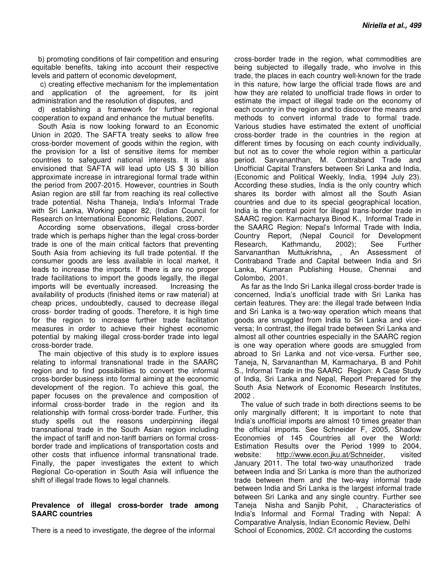b) promoting conditions of fair competition and ensuring equitable benefits, taking into account their respective levels and pattern of economic development,

 c) creating effective mechanism for the implementation and application of the agreement, for its joint administration and the resolution of disputes, and

d) establishing a framework for further regional cooperation to expand and enhance the mutual benefits.

South Asia is now looking forward to an Economic Union in 2020. The SAFTA treaty seeks to allow free cross-border movement of goods within the region, with the provision for a list of sensitive items for member countries to safeguard national interests. It is also envisioned that SAFTA will lead upto US \$ 30 billion approximate increase in intraregional formal trade within the period from 2007-2015. However, countries in South Asian region are still far from reaching its real collective trade potential. Nisha Thaneja, India's Informal Trade with Sri Lanka, Working paper 82, (Indian Council for Research on International Economic Relations, 2007.

According some observations, illegal cross-border trade which is perhaps higher than the legal cross-border trade is one of the main critical factors that preventing South Asia from achieving its full trade potential. If the consumer goods are less available in local market, it leads to increase the imports. If there is are no proper trade facilitations to import the goods legally, the illegal imports will be eventually increased. Increasing the availability of products (finished items or raw material) at cheap prices, undoubtedly, caused to decrease illegal cross- border trading of goods. Therefore, it is high time for the region to increase further trade facilitation measures in order to achieve their highest economic potential by making illegal cross-border trade into legal cross-border trade.

The main objective of this study is to explore issues relating to informal transnational trade in the SAARC region and to find possibilities to convert the informal cross-border business into formal aiming at the economic development of the region. To achieve this goal, the paper focuses on the prevalence and composition of informal cross-border trade in the region and its relationship with formal cross-border trade. Further, this study spells out the reasons underpinning illegal transnational trade in the South Asian region including the impact of tariff and non-tariff barriers on formal crossborder trade and implications of transportation costs and other costs that influence informal transnational trade. Finally, the paper investigates the extent to which Regional Co-operation in South Asia will influence the shift of illegal trade flows to legal channels.

## **Prevalence of illegal cross-border trade among SAARC countries**

There is a need to investigate, the degree of the informal

cross-border trade in the region, what commodities are being subjected to illegally trade, who involve in this trade, the places in each country well-known for the trade in this nature, how large the official trade flows are and how they are related to unofficial trade flows in order to estimate the impact of illegal trade on the economy of each country in the region and to discover the means and methods to convert informal trade to formal trade. Various studies have estimated the extent of unofficial cross-border trade in the countries in the region at different times by focusing on each county individually, but not as to cover the whole region within a particular period. Sarvananthan, M. Contraband Trade and Unofficial Capital Transfers between Sri Lanka and India, (Economic and Political Weekly, India, 1994 July 23). According these studies, India is the only country which shares its border with almost all the South Asian countries and due to its special geographical location, India is the central point for illegal trans-border trade in SAARC region. Karmacharya Binod K., Informal Trade in the SAARC Region: Nepal's Informal Trade with India, Country Report, (Nepal Council for Development Research, Kathmandu, 2002); See Further Sarvananthan Muttukrishna**,** , An Assessment of Contraband Trade and Capital between India and Sri Lanka, Kumaran Publishing House, Chennai and Colombo, 2001.

As far as the Indo Sri Lanka illegal cross-border trade is concerned, India's unofficial trade with Sri Lanka has certain features. They are: the illegal trade between India and Sri Lanka is a two-way operation which means that goods are smuggled from India to Sri Lanka and viceversa; In contrast, the illegal trade between Sri Lanka and almost all other countries especially in the SAARC region is one way operation where goods are smuggled from abroad to Sri Lanka and not vice-versa. Further see, Taneja, N, Sarvananthan M, Karmacharya, B and Pohit S., Informal Trade in the SAARC Region: A Case Study of India, Sri Lanka and Nepal, Report Prepared for the South Asia Network of Economic Research Institutes, 2002 .

The value of such trade in both directions seems to be only marginally different; It is important to note that India's unofficial imports are almost 10 times greater than the official imports. See Schneider F, 2005, Shadow Economies of 145 Countries all over the World: Estimation Results over the Period 1999 to 2004, website: http://www.econ.jku.at/Schneider, visited January 2011. The total two-way unauthorized trade between India and Sri Lanka is more than the authorized trade between them and the two-way informal trade between India and Sri Lanka is the largest informal trade between Sri Lanka and any single country. Further see Taneja Nisha and Sanjib Pohit, , Characteristics of India's Informal and Formal Trading with Nepal: A Comparative Analysis, Indian Economic Review, Delhi School of Economics, 2002. C/f according the customs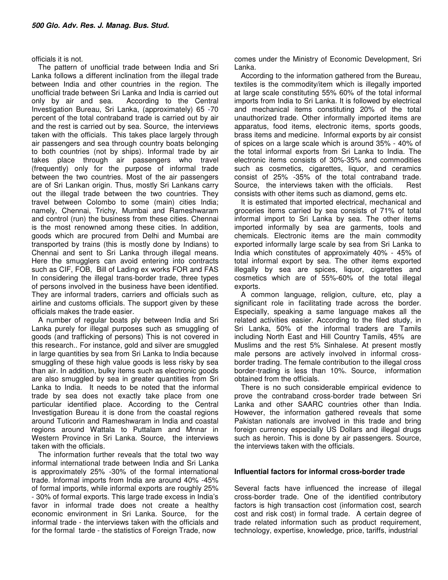#### officials it is not.

The pattern of unofficial trade between India and Sri Lanka follows a different inclination from the illegal trade between India and other countries in the region. The unofficial trade between Sri Lanka and India is carried out only by air and sea. According to the Central Investigation Bureau, Sri Lanka, (approximately) 65 -70 percent of the total contraband trade is carried out by air and the rest is carried out by sea. Source, the interviews taken with the officials. This takes place largely through air passengers and sea through country boats belonging to both countries (not by ships). Informal trade by air takes place through air passengers who travel (frequently) only for the purpose of informal trade between the two countries. Most of the air passengers are of Sri Lankan origin. Thus, mostly Sri Lankans carry out the illegal trade between the two countries. They travel between Colombo to some (main) cities India; namely, Chennai, Trichy, Mumbai and Rameshwaram and control (run) the business from these cities. Chennai is the most renowned among these cities. In addition, goods which are procured from Delhi and Mumbai are transported by trains (this is mostly done by Indians) to Chennai and sent to Sri Lanka through illegal means. Here the smugglers can avoid entering into contracts such as CIF, FOB, Bill of Lading ex works FOR and FAS In considering the illegal trans-border trade, three types of persons involved in the business have been identified. They are informal traders, carriers and officials such as airline and customs officials. The support given by these officials makes the trade easier.

A number of regular boats ply between India and Sri Lanka purely for illegal purposes such as smuggling of goods (and trafficking of persons) This is not covered in this research.. For instance, gold and silver are smuggled in large quantities by sea from Sri Lanka to India because smuggling of these high value goods is less risky by sea than air. In addition, bulky items such as electronic goods are also smuggled by sea in greater quantities from Sri Lanka to India. It needs to be noted that the informal trade by sea does not exactly take place from one particular identified place. According to the Central Investigation Bureau it is done from the coastal regions around Tuticorin and Rameshwaram in India and coastal regions around Wattala to Puttalam and Mnnar in Western Province in Sri Lanka. Source, the interviews taken with the officials.

The information further reveals that the total two way informal international trade between India and Sri Lanka is approximately 25% -30% of the formal international trade. Informal imports from India are around 40% -45% of formal imports, while informal exports are roughly 25% - 30% of formal exports. This large trade excess in India's favor in informal trade does not create a healthy economic environment in Sri Lanka. Source, for the informal trade - the interviews taken with the officials and for the formal tarde - the statistics of Foreign Trade, now

comes under the Ministry of Economic Development, Sri Lanka.

According to the information gathered from the Bureau, textiles is the commodity/item which is illegally imported at large scale constituting 55% 60% of the total informal imports from India to Sri Lanka. It is followed by electrical and mechanical items constituting 20% of the total unauthorized trade. Other informally imported items are apparatus, food items, electronic items, sports goods, brass items and medicine. Informal exports by air consist of spices on a large scale which is around 35% - 40% of the total informal exports from Sri Lanka to India. The electronic items consists of 30%-35% and commodities such as cosmetics, cigarettes, liquor, and ceramics consist of 25% -35% of the total contraband trade. Source, the interviews taken with the officials. Rest consists with other items such as diamond, gems etc.

It is estimated that imported electrical, mechanical and groceries items carried by sea consists of 71% of total informal import to Sri Lanka by sea. The other items imported informally by sea are garments, tools and chemicals. Electronic items are the main commodity exported informally large scale by sea from Sri Lanka to India which constitutes of approximately 40% - 45% of total informal export by sea. The other items exported illegally by sea are spices, liquor, cigarettes and cosmetics which are of 55%-60% of the total illegal exports.

A common language, religion, culture, etc, play a significant role in facilitating trade across the border. Especially, speaking a same language makes all the related activities easier. According to the filed study, in Sri Lanka, 50% of the informal traders are Tamils including North East and Hill Country Tamils, 45% are Muslims and the rest 5% Sinhalese. At present mostly male persons are actively involved in informal crossborder trading. The female contribution to the illegal cross border-trading is less than 10%. Source, information obtained from the officials.

There is no such considerable empirical evidence to prove the contraband cross-border trade between Sri Lanka and other SAARC countries other than India. However, the information gathered reveals that some Pakistan nationals are involved in this trade and bring foreign currency especially US Dollars and illegal drugs such as heroin. This is done by air passengers. Source, the interviews taken with the officials.

## **Influential factors for informal cross-border trade**

Several facts have influenced the increase of illegal cross-border trade. One of the identified contributory factors is high transaction cost (information cost, search cost and risk cost) in formal trade. A certain degree of trade related information such as product requirement, technology, expertise, knowledge, price, tariffs, industrial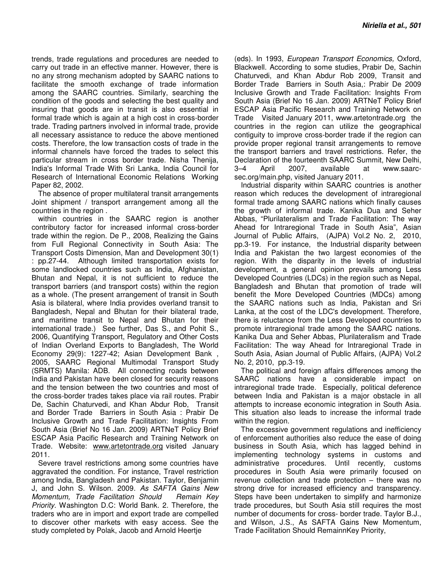trends, trade regulations and procedures are needed to carry out trade in an effective manner. However, there is no any strong mechanism adopted by SAARC nations to facilitate the smooth exchange of trade information among the SAARC countries. Similarly, searching the condition of the goods and selecting the best quality and insuring that goods are in transit is also essential in formal trade which is again at a high cost in cross-border trade. Trading partners involved in informal trade, provide all necessary assistance to reduce the above mentioned costs. Therefore, the low transaction costs of trade in the informal channels have forced the trades to select this particular stream in cross border trade. Nisha Thenija, India's Informal Trade With Sri Lanka, India Council for Research of International Economic Relations Working Paper 82, 2002.

The absence of proper multilateral transit arrangements Joint shipment / transport arrangement among all the countries in the region .

within countries in the SAARC region is another contributory factor for increased informal cross-border trade within the region. De P., 2008, Realizing the Gains from Full Regional Connectivity in South Asia: The Transport Costs Dimension, Man and Development 30(1) : pp.27-44. Although limited transportation exists for some landlocked countries such as India, Afghanistan, Bhutan and Nepal, it is not sufficient to reduce the transport barriers (and transport costs) within the region as a whole. (The present arrangement of transit in South Asia is bilateral, where India provides overland transit to Bangladesh, Nepal and Bhutan for their bilateral trade, and maritime transit to Nepal and Bhutan for their international trade.) See further, Das S., and Pohit S., 2006, Quantifying Transport, Regulatory and Other Costs of Indian Overland Exports to Bangladesh, The World Economy 29(9): 1227-42; Asian Development Bank , 2005, SAARC Regional Multimodal Transport Study (SRMTS) Manila: ADB. All connecting roads between India and Pakistan have been closed for security reasons and the tension between the two countries and most of the cross-border trades takes place via rail routes. Prabir De, Sachin Chaturvedi, and Khan Abdur Rob, Transit and Border Trade Barriers in South Asia : Prabir De Inclusive Growth and Trade Facilitation: Insights From South Asia (Brief No 16 Jan. 2009) ARTNeT Policy Brief ESCAP Asia Pacific Research and Training Network on Trade. Website: www.artetontrade.org visited January 2011.

Severe travel restrictions among some countries have aggravated the condition. For instance, Travel restriction among India, Bangladesh and Pakistan. Taylor, Benjamin J, and John S. Wilson. 2009. As SAFTA Gains New Momentum, Trade Facilitation Should Remain Key Priority. Washington D.C: World Bank. 2. Therefore, the traders who are in import and export trade are compelled to discover other markets with easy access. See the study completed by Polak, Jacob and Arnold Heertje

(eds). In 1993, European Transport Economics, Oxford, Blackwell. According to some studies, Prabir De, Sachin Chaturvedi, and Khan Abdur Rob 2009, Transit and Border Trade Barriers in South Asia,: Prabir De 2009 Inclusive Growth and Trade Facilitation: Insights From South Asia (Brief No 16 Jan. 2009) ARTNeT Policy Brief ESCAP Asia Pacific Research and Training Network on Trade Visited January 2011, www.artetontrade.org the countries in the region can utilize the geographical contiguity to improve cross-border trade if the region can provide proper regional transit arrangements to remove the transport barriers and travel restrictions. Refer, the Declaration of the fourteenth SAARC Summit, New Delhi, 3–4 April 2007, available at www.saarcsec.org/main.php, visited January 2011.

Industrial disparity within SAARC countries is another reason which reduces the development of intraregional formal trade among SAARC nations which finally causes the growth of informal trade. Kanika Dua and Seher Abbas, "Plurilateralism and Trade Facilitation: The way Ahead for Intraregional Trade in South Asia", Asian Journal of Public Affairs, (AJPA) Vol.2 No. 2, 2010, pp.3-19. For instance, the Industrial disparity between India and Pakistan the two largest economies of the region. With the disparity in the levels of industrial development, a general opinion prevails among Less Developed Countries (LDCs) in the region such as Nepal, Bangladesh and Bhutan that promotion of trade will benefit the More Developed Countries (MDCs) among the SAARC nations such as India, Pakistan and Sri Lanka, at the cost of the LDC's development. Therefore, there is reluctance from the Less Developed countries to promote intraregional trade among the SAARC nations. Kanika Dua and Seher Abbas, Plurilateralism and Trade Facilitation: The way Ahead for Intraregional Trade in South Asia, Asian Journal of Public Affairs, (AJPA) Vol.2 No. 2, 2010, pp.3-19.

The political and foreign affairs differences among the SAARC nations have a considerable impact on intraregional trade trade. Especially, political deference between India and Pakistan is a major obstacle in all attempts to increase economic integration in South Asia. This situation also leads to increase the informal trade within the region.

The excessive government regulations and inefficiency of enforcement authorities also reduce the ease of doing business in South Asia, which has lagged behind in implementing technology systems in customs and administrative procedures. Until recently, customs procedures in South Asia were primarily focused on revenue collection and trade protection – there was no strong drive for increased efficiency and transparency. Steps have been undertaken to simplify and harmonize trade procedures, but South Asia still requires the most number of documents for cross- border trade. Taylor B.J., and Wilson, J.S., As SAFTA Gains New Momentum, Trade Facilitation Should RemainnKey Priority,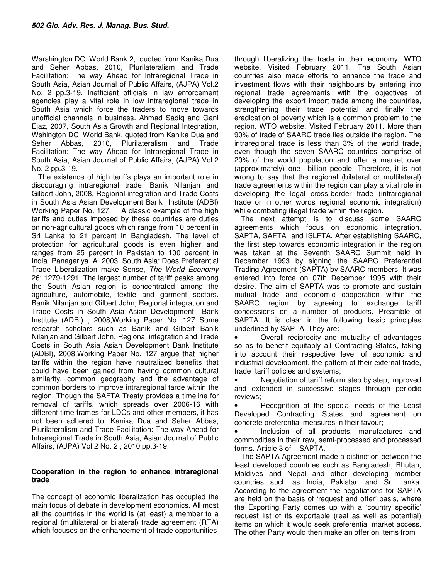Warshington DC: World Bank 2, quoted from Kanika Dua and Seher Abbas, 2010, Plurilateralism and Trade Facilitation: The way Ahead for Intraregional Trade in South Asia, Asian Journal of Public Affairs, (AJPA) Vol.2 No. 2 pp.3-19. Inefficient officials in law enforcement agencies play a vital role in low intraregional trade in South Asia which force the traders to move towards unofficial channels in business. Ahmad Sadiq and Gani Ejaz, 2007, South Asia Growth and Regional Integration, Wshington DC: World Bank, quoted from Kanika Dua and Seher Abbas, 2010, Plurilateralism and Trade Facilitation: The way Ahead for Intraregional Trade in South Asia, Asian Journal of Public Affairs, (AJPA) Vol.2 No. 2 pp.3-19.

The existence of high tariffs plays an important role in discouraging intraregional trade. Banik Nilanjan and Gilbert John, 2008, Regional integration and Trade Costs in South Asia Asian Development Bank Institute (ADBI) Working Paper No. 127. A classic example of the high tariffs and duties imposed by these countries are duties on non-agricultural goods which range from 10 percent in Sri Lanka to 21 percent in Bangladesh. The level of protection for agricultural goods is even higher and ranges from 25 percent in Pakistan to 100 percent in India. Panagariya, A. 2003. South Asia: Does Preferential Trade Liberalization make Sense, The World Economy 26: 1279-1291. The largest number of tariff peaks among the South Asian region is concentrated among the agriculture, automobile, textile and garment sectors. Banik Nilanjan and Gilbert John, Regional integration and Trade Costs in South Asia Asian Development Bank Institute (ADBI) , 2008,Working Paper No. 127 Some research scholars such as Banik and Gilbert Banik Nilanjan and Gilbert John, Regional integration and Trade Costs in South Asia Asian Development Bank Institute (ADBI), 2008,Working Paper No. 127 argue that higher tariffs within the region have neutralized benefits that could have been gained from having common cultural similarity, common geography and the advantage of common borders to improve intraregional tarde within the region. Though the SAFTA Treaty provides a timeline for removal of tariffs, which spreads over 2006-16 with different time frames for LDCs and other members, it has not been adhered to. Kanika Dua and Seher Abbas, Plurilateralism and Trade Facilitation: The way Ahead for Intraregional Trade in South Asia, Asian Journal of Public Affairs, (AJPA) Vol.2 No. 2 , 2010,pp.3-19.

# **Cooperation in the region to enhance intraregional trade**

The concept of economic liberalization has occupied the main focus of debate in development economics. All most all the countries in the world is (at least) a member to a regional (multilateral or bilateral) trade agreement (RTA) which focuses on the enhancement of trade opportunities

through liberalizing the trade in their economy. WTO website. Visited February 2011. The South Asian countries also made efforts to enhance the trade and investment flows with their neighbours by entering into regional trade agreements with the objectives of developing the export import trade among the countries, strengthening their trade potential and finally the eradication of poverty which is a common problem to the region. WTO website. Visited February 2011. More than 90% of trade of SAARC trade lies outside the region. The intraregional trade is less than 3% of the world trade, even though the seven SAARC countries comprise of 20% of the world population and offer a market over (approximately) one billion people. Therefore, it is not wrong to say that the regional (bilateral or multilateral) trade agreements within the region can play a vital role in developing the legal cross-border trade (intraregional trade or in other words regional economic integration) while combating illegal trade within the region.

The next attempt is to discuss some SAARC agreements which focus on economic integration. SAPTA, SAFTA and ISLFTA. After establishing SAARC, the first step towards economic integration in the region was taken at the Seventh SAARC Summit held in December 1993 by signing the SAARC Preferential Trading Agreement (SAPTA) by SAARC members. It was entered into force on 07th December 1995 with their desire. The aim of SAPTA was to promote and sustain mutual trade and economic cooperation within the SAARC region by agreeing to exchange tariff concessions on a number of products. Preamble of SAPTA. It is clear in the following basic principles underlined by SAPTA. They are:

• Overall reciprocity and mutuality of advantages so as to benefit equitably all Contracting States, taking into account their respective level of economic and industrial development, the pattern of their external trade, trade tariff policies and systems;

Negotiation of tariff reform step by step, improved and extended in successive stages through periodic reviews;

• Recognition of the special needs of the Least Developed Contracting States and agreement on concrete preferential measures in their favour;

• Inclusion of all products, manufactures and commodities in their raw, semi-processed and processed forms. Article 3 of SAPTA.

The SAPTA Agreement made a distinction between the least developed countries such as Bangladesh, Bhutan, Maldives and Nepal and other developing member countries such as India, Pakistan and Sri Lanka. According to the agreement the negotiations for SAPTA are held on the basis of 'request and offer' basis, where the Exporting Party comes up with a 'country specific' request list of its exportable (real as well as potential) items on which it would seek preferential market access. The other Party would then make an offer on items from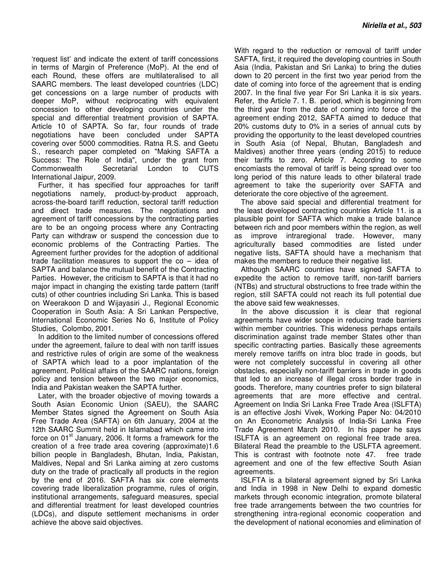'request list' and indicate the extent of tariff concessions in terms of Margin of Preference (MoP). At the end of each Round, these offers are multilateralised to all SAARC members. The least developed countries (LDC) get concessions on a large number of products with deeper MoP, without reciprocating with equivalent concession to other developing countries under the special and differential treatment provision of SAPTA. Article 10 of SAPTA. So far, four rounds of trade negotiations have been concluded under SAPTA covering over 5000 commodities. Ratna R.S. and Geetu S., research paper completed on "Making SAFTA a Success: The Role of India", under the grant from Commonwealth Secretarial London to CUTS International Jaipur, 2009.

Further, it has specified four approaches for tariff negotiations namely, product-by-product approach, across-the-board tariff reduction, sectoral tariff reduction and direct trade measures. The negotiations and agreement of tariff concessions by the contracting parties are to be an ongoing process where any Contracting Party can withdraw or suspend the concession due to economic problems of the Contracting Parties. The Agreement further provides for the adoption of additional trade facilitation measures to support the  $co - ide$  of SAPTA and balance the mutual benefit of the Contracting Parties. However, the criticism to SAPTA is that it had no major impact in changing the existing tarde pattern (tariff cuts) of other countries including Sri Lanka. This is based on Weerakoon D and Wijayasiri J., Regional Economic Cooperation in South Asia: A Sri Lankan Perspective, International Economic Series No 6, Institute of Policy Studies, Colombo, 2001.

In addition to the limited number of concessions offered under the agreement, failure to deal with non tariff issues and restrictive rules of origin are some of the weakness of SAPTA which lead to a poor implantation of the agreement. Political affairs of the SAARC nations, foreign policy and tension between the two major economics, India and Pakistan weaken the SAPTA further.

Later, with the broader objective of moving towards a South Asian Economic Union (SAEU), the SAARC Member States signed the Agreement on South Asia Free Trade Area (SAFTA) on 6th January, 2004 at the 12th SAARC Summit held in Islamabad which came into force on  $01<sup>st</sup>$  January, 2006. It forms a framework for the creation of a free trade area covering (approximate)1.6 billion people in Bangladesh, Bhutan, India, Pakistan, Maldives, Nepal and Sri Lanka aiming at zero customs duty on the trade of practically all products in the region by the end of 2016. SAFTA has six core elements covering trade liberalization programme, rules of origin, institutional arrangements, safeguard measures, special and differential treatment for least developed countries (LDCs), and dispute settlement mechanisms in order achieve the above said objectives.

With regard to the reduction or removal of tariff under SAFTA, first, it required the developing countries in South Asia (India, Pakistan and Sri Lanka) to bring the duties down to 20 percent in the first two year period from the date of coming into force of the agreement that is ending 2007. In the final five year For Sri Lanka it is six years. Refer, the Article 7. 1. B. period, which is beginning from the third year from the date of coming into force of the agreement ending 2012, SAFTA aimed to deduce that 20% customs duty to 0% in a series of annual cuts by providing the opportunity to the least developed countries in South Asia (of Nepal, Bhutan, Bangladesh and Maldives) another three years (ending 2015) to reduce their tariffs to zero. Article 7. According to some encomiasts the removal of tariff is being spread over too long period of this nature leads to other bilateral trade agreement to take the superiority over SAFTA and deteriorate the core objective of the agreement.

The above said special and differential treatment for the least developed contracting countries Article 11. is a plausible point for SAFTA which make a trade balance between rich and poor members within the region, as well as improve intraregional trade. However, many agriculturally based commodities are listed under negative lists, SAFTA should have a mechanism that makes the members to reduce their negative list.

Although SAARC countries have signed SAFTA to expedite the action to remove tariff, non-tariff barriers (NTBs) and structural obstructions to free trade within the region, still SAFTA could not reach its full potential due the above said few weaknesses.

In the above discussion it is clear that regional agreements have wider scope in reducing trade barriers within member countries. This wideness perhaps entails discrimination against trade member States other than specific contracting parties. Basically these agreements merely remove tariffs on intra bloc trade in goods, but were not completely successful in covering all other obstacles, especially non-tariff barriers in trade in goods that led to an increase of illegal cross border trade in goods. Therefore, many countries prefer to sign bilateral agreements that are more effective and central. Agreement on India Sri Lanka Free Trade Area (ISLFTA) is an effective Joshi Vivek, Working Paper No: 04/2010 on An Econometric Analysis of India-Sri Lanka Free Trade Agreement March 2010. In his paper he says ISLFTA is an agreement on regional free trade area. Bilateral Read the preamble to the USLFTA agreement. This is contrast with footnote note 47. free trade agreement and one of the few effective South Asian agreements.

ISLFTA is a bilateral agreement signed by Sri Lanka and India in 1998 in New Delhi to expand domestic markets through economic integration, promote bilateral free trade arrangements between the two countries for strengthening intra-regional economic cooperation and the development of national economies and elimination of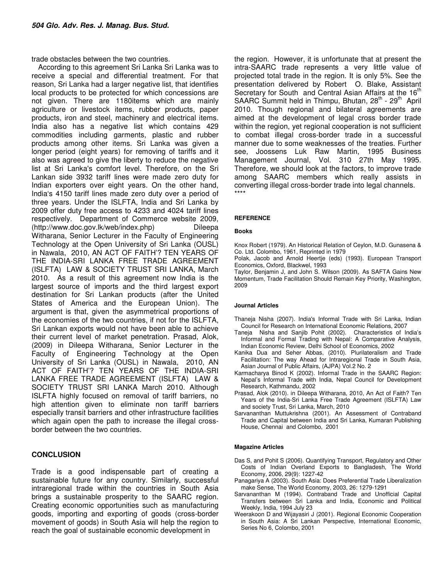trade obstacles between the two countries.

According to this agreement Sri Lanka Sri Lanka was to receive a special and differential treatment. For that reason, Sri Lanka had a larger negative list, that identifies local products to be protected for which concessions are not given. There are 1180items which are mainly agriculture or livestock items, rubber products, paper products, iron and steel, machinery and electrical items. India also has a negative list which contains 429 commodities including garments, plastic and rubber products among other items. Sri Lanka was given a longer period (eight years) for removing of tariffs and it also was agreed to give the liberty to reduce the negative list at Sri Lanka's comfort level. Therefore, on the Sri Lankan side 3932 tariff lines were made zero duty for Indian exporters over eight years. On the other hand, India's 4150 tariff lines made zero duty over a period of three years. Under the ISLFTA, India and Sri Lanka by 2009 offer duty free access to 4233 and 4024 tariff lines respectively. Department of Commerce website 2009, (http://www.doc.gov.lk/web/index.php) Dileepa Witharana, Senior Lecturer in the Faculty of Engineering Technology at the Open University of Sri Lanka (OUSL) in Nawala, 2010, AN ACT OF FAITH'? TEN YEARS OF THE INDIA-SRI LANKA FREE TRADE AGREEMENT (ISLFTA) LAW & SOCIETY TRUST SRI LANKA, March 2010. As a result of this agreement now India is the largest source of imports and the third largest export destination for Sri Lankan products (after the United States of America and the European Union). The argument is that, given the asymmetrical proportions of the economies of the two countries, if not for the ISLFTA, Sri Lankan exports would not have been able to achieve their current level of market penetration. Prasad, Alok, (2009) in Dileepa Witharana, Senior Lecturer in the Faculty of Engineering Technology at the Open University of Sri Lanka (OUSL) in Nawala, 2010, AN ACT OF FAITH'? TEN YEARS OF THE INDIA-SRI LANKA FREE TRADE AGREEMENT (ISLFTA) LAW & SOCIETY TRUST SRI LANKA March 2010. Although ISLFTA highly focused on removal of tariff barriers, no high attention given to eliminate non tariff barriers especially transit barriers and other infrastructure facilities which again open the path to increase the illegal crossborder between the two countries.

#### **CONCLUSION**

Trade is a good indispensable part of creating a sustainable future for any country. Similarly, successful intraregional trade within the countries in South Asia brings a sustainable prosperity to the SAARC region. Creating economic opportunities such as manufacturing goods, importing and exporting of goods (cross-border movement of goods) in South Asia will help the region to reach the goal of sustainable economic development in

the region. However, it is unfortunate that at present the intra-SAARC trade represents a very little value of projected total trade in the region. It is only 5%. See the presentation delivered by Robert O. Blake, Assistant Secretary for South and Central Asian Affairs at the 16<sup>th</sup> SAARC Summit held in Thimpu, Bhutan,  $28<sup>th</sup>$  -  $29<sup>th</sup>$  April 2010. Though regional and bilateral agreements are aimed at the development of legal cross border trade within the region, yet regional cooperation is not sufficient to combat illegal cross-border trade in a successful manner due to some weaknesses of the treaties. Further see, Joossens Luk Raw Martin, 1995 Business Management Journal, Vol. 310 27th May 1995. Therefore, we should look at the factors, to improve trade among SAARC members which really assists in converting illegal cross-border trade into legal channels. \*\*\*\*

#### **REFERENCE**

#### **Books**

Knox Robert (1979). An Historical Relation of Ceylon, M.D. Gunasena & Co. Ltd. Colombo, 1961, Reprinted in 1979

Polak, Jacob and Arnold Heertje (eds) (1993). European Transport Economics, Oxford, Blackwel, 1993

Taylor, Benjamin J, and John S. Wilson (2009). As SAFTA Gains New Momentum, Trade Facilitation Should Remain Key Priority, Washington, 2009

#### **Journal Articles**

- Thaneja Nisha (2007). India's Informal Trade with Sri Lanka, Indian Council for Research on International Economic Relations, 2007
- Taneja Nisha and Sanjib Pohit (2002). Characteristics of India's Informal and Formal Trading with Nepal: A Comparative Analysis, Indian Economic Review, Delhi School of Economics, 2002
- Kanika Dua and Seher Abbas, (2010). Plurilateralism and Trade Facilitation: The way Ahead for Intraregional Trade in South Asia, Asian Journal of Public Affairs, (AJPA) Vol.2 No. 2
- Karmacharya Binod K (2002). Informal Trade in the SAARC Region: Nepal's Informal Trade with India, Nepal Council for Development Research, Kathmandu, 2002
- Prasad, Alok (2010). in Dileepa Witharana, 2010, An Act of Faith? Ten Years of the India-Sri Lanka Free Trade Agreement (ISLFTA) Law and society Trust, Sri Lanka, March, 2010
- Sarvananthan Muttukrishna (2001). An Assessment of Contraband Trade and Capital between India and Sri Lanka, Kumaran Publishing House, Chennai and Colombo, 2001

#### **Magazine Articles**

- Das S, and Pohit S (2006). Quantifying Transport, Regulatory and Other Costs of Indian Overland Exports to Bangladesh, The World Economy, 2006, 29(9): 1227-42
- Panagariya A (2003). South Asia: Does Preferential Trade Liberalization make Sense, The World Economy, 2003, 26: 1279-1291
- Sarvananthan M (1994). Contraband Trade and Unofficial Capital Transfers between Sri Lanka and India, Economic and Political Weekly, India, 1994 July 23
- Weerakoon D and Wijayasiri J (2001). Regional Economic Cooperation in South Asia: A Sri Lankan Perspective, International Economic, Series No 6, Colombo, 2001